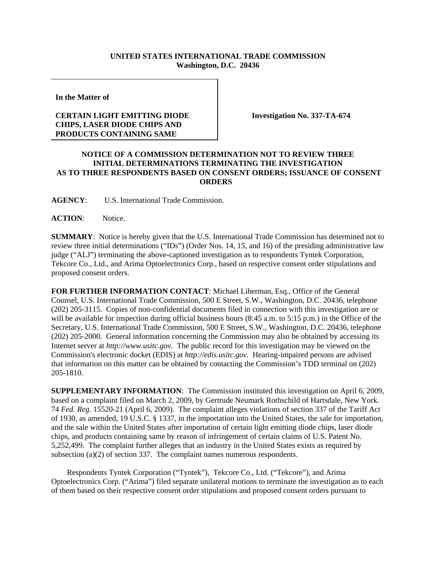## **UNITED STATES INTERNATIONAL TRADE COMMISSION Washington, D.C. 20436**

**In the Matter of** 

## **CERTAIN LIGHT EMITTING DIODE CHIPS, LASER DIODE CHIPS AND PRODUCTS CONTAINING SAME**

**Investigation No. 337-TA-674**

## **NOTICE OF A COMMISSION DETERMINATION NOT TO REVIEW THREE INITIAL DETERMINATIONS TERMINATING THE INVESTIGATION AS TO THREE RESPONDENTS BASED ON CONSENT ORDERS; ISSUANCE OF CONSENT ORDERS**

**AGENCY**: U.S. International Trade Commission.

## **ACTION**: Notice.

**SUMMARY**: Notice is hereby given that the U.S. International Trade Commission has determined not to review three initial determinations ("IDs") (Order Nos. 14, 15, and 16) of the presiding administrative law judge ("ALJ") terminating the above-captioned investigation as to respondents Tyntek Corporation, Tekcore Co., Ltd., and Arima Optoelectronics Corp., based on respective consent order stipulations and proposed consent orders.

**FOR FURTHER INFORMATION CONTACT**: Michael Liberman, Esq., Office of the General Counsel, U.S. International Trade Commission, 500 E Street, S.W., Washington, D.C. 20436, telephone (202) 205-3115. Copies of non-confidential documents filed in connection with this investigation are or will be available for inspection during official business hours (8:45 a.m. to 5:15 p.m.) in the Office of the Secretary, U.S. International Trade Commission, 500 E Street, S.W., Washington, D.C. 20436, telephone (202) 205-2000. General information concerning the Commission may also be obtained by accessing its Internet server at *http://www.usitc.gov*. The public record for this investigation may be viewed on the Commission's electronic docket (EDIS) at *http://edis.usitc.gov*. Hearing-impaired persons are advised that information on this matter can be obtained by contacting the Commission's TDD terminal on (202) 205-1810.

**SUPPLEMENTARY INFORMATION**: The Commission instituted this investigation on April 6, 2009, based on a complaint filed on March 2, 2009, by Gertrude Neumark Rothschild of Hartsdale, New York. 74 *Fed. Reg*. 15520-21 (April 6, 2009). The complaint alleges violations of section 337 of the Tariff Act of 1930, as amended, 19 U.S.C. § 1337, in the importation into the United States, the sale for importation, and the sale within the United States after importation of certain light emitting diode chips, laser diode chips, and products containing same by reason of infringement of certain claims of U.S. Patent No. 5,252,499. The complaint further alleges that an industry in the United States exists as required by subsection (a)(2) of section 337. The complaint names numerous respondents.

 Respondents Tyntek Corporation ("Tyntek"), Tekcore Co., Ltd. ("Tekcore"), and Arima Optoelectronics Corp. ("Arima") filed separate unilateral motions to terminate the investigation as to each of them based on their respective consent order stipulations and proposed consent orders pursuant to